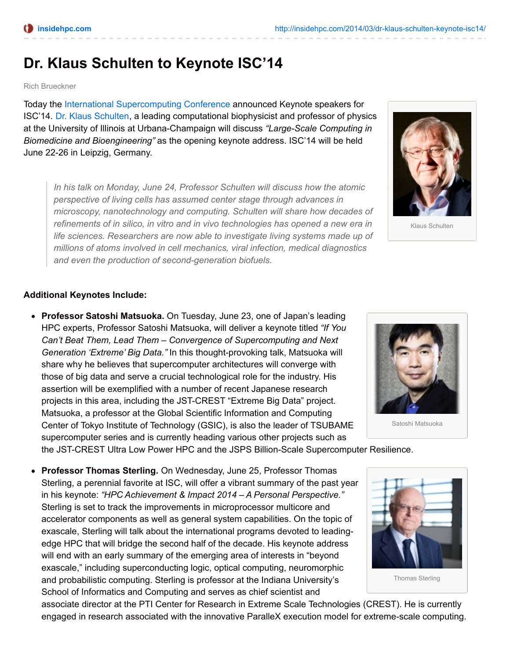## **Dr. Klaus Schulten to Keynote ISC'14**

Rich Brueckner

Today the International [Supercomputing](http://www.isc-events.com/ct.php?id=91) Conference announced Keynote speakers for ISC'14. Dr. Klaus [Schulten](http://www.isc-events.com/isc14/conference_keynote.html), a leading computational biophysicist and professor of physics at the University of Illinois at Urbana-Champaign will discuss *"Large-Scale Computing in Biomedicine and Bioengineering"* as the opening keynote address. ISC'14 will be held June 22-26 in Leipzig, Germany.

*In his talk on Monday, June 24, Professor Schulten will discuss how the atomic perspective of living cells has assumed center stage through advances in microscopy, nanotechnology and computing. Schulten will share how decades of refinements of in silico, in vitro and in vivo technologies has opened a new era in life sciences. Researchers are now able to investigate living systems made up of millions of atoms involved in cell mechanics, viral infection, medical diagnostics and even the production of second-generation biofuels.*



Klaus Schulten

## **Additional Keynotes Include:**

**Professor Satoshi Matsuoka.** On Tuesday, June 23, one of Japan's leading HPC experts, Professor Satoshi Matsuoka, will deliver a keynote titled *"If You Can't Beat Them, Lead Them – Convergence of Supercomputing and Next Generation 'Extreme' Big Data."* In this thought-provoking talk, Matsuoka will share why he believes that supercomputer architectures will converge with those of big data and serve a crucial technological role for the industry. His assertion will be exemplified with a number of recent Japanese research projects in this area, including the JST-CREST "Extreme Big Data" project. Matsuoka, a professor at the Global Scientific Information and Computing Center of Tokyo Institute of Technology (GSIC), is also the leader of TSUBAME supercomputer series and is currently heading various other projects such as



Satoshi Matsuoka

the JST-CREST Ultra Low Power HPC and the JSPS Billion-Scale Supercomputer Resilience.

**Professor Thomas Sterling.** On Wednesday, June 25, Professor Thomas Sterling, a perennial favorite at ISC, will offer a vibrant summary of the past year in his keynote: *"HPC Achievement & Impact 2014 – A Personal Perspective."* Sterling is set to track the improvements in microprocessor multicore and accelerator components as well as general system capabilities. On the topic of exascale, Sterling will talk about the international programs devoted to leadingedge HPC that will bridge the second half of the decade. His keynote address will end with an early summary of the emerging area of interests in "beyond exascale," including superconducting logic, optical computing, neuromorphic and probabilistic computing. Sterling is professor at the Indiana University's School of Informatics and Computing and serves as chief scientist and



Thomas Sterling

associate director at the PTI Center for Research in Extreme Scale Technologies (CREST). He is currently engaged in research associated with the innovative ParalleX execution model for extreme-scale computing.